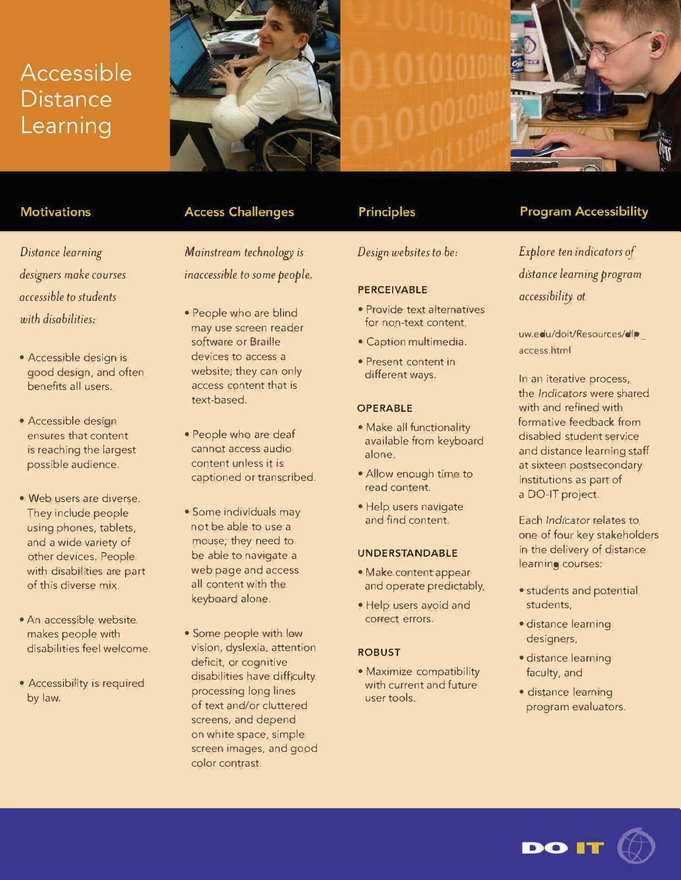# Accessible **Distance** Learning





## **Motivations**

*Distance learning designers make courses accessible to students with disabilities:* 

- Accessible design is good design, and often benefits all users.
- Accessible design ensures that content is reaching the largest possible audience.
- Web users are diverse. They include people using phones, tablets, and a wide variety of other devices. People with disabilities are part of this diverse mix.
- An accessible website makes people with disabilities feel welcome.
- Accessibility is required by law.

# **Access Challenges**

*Mainstream technology is inaccessible to some people.* 

- People who are blind may use screen reader software or Braille devices to access a website; they can only access content that is text-based.
- People who are deaf cannot access audio content unless it is captioned or transcribed.
- Some individuals may not be able to use a mouse; they need to be able to navigate a web page and access all content with the keyboard alone.
- Some people with low vision, dyslexia, attention deficit, or cognitive disabilities have difficulty processing long lines of text and/or cluttered screens, and depend on white space, simple screen images, and good color contrast.

# **Principles**

## *Design websites to be:*

#### **PERCEIVABLE**

- Provide text alternatives for non-text content.
- Caption multimedia.
- Present content in different ways.

#### **OPERABLE**

- Make all functionality available from keyboard alone.
- Allow enough time to read content.
- Help users navigate and find content.

#### **UNDERSTANDABLE**

- Make content appear and operate predictably.
- Help users avoid and correct errors.

#### **ROBUST**

• Maximize compatibility with current and future user tools.

# **Program Accessibility**

*Explore ten indicators of distance learning program accessibility* at

uw.edu/doit/Resources/dlp access.html

In an iterative process, the *Indicators* were shared with and refined with formative feedback from disabled student service and distance learning staff at sixteen postsecondary institutions as part of a DO-IT project.

Each *Indicator* relates to one of four key stakeholders in the delivery of distance learning courses:

- students and potential students,
- distance learning designers,
- distance learning faculty, and
- distance learning .. program evaluators.